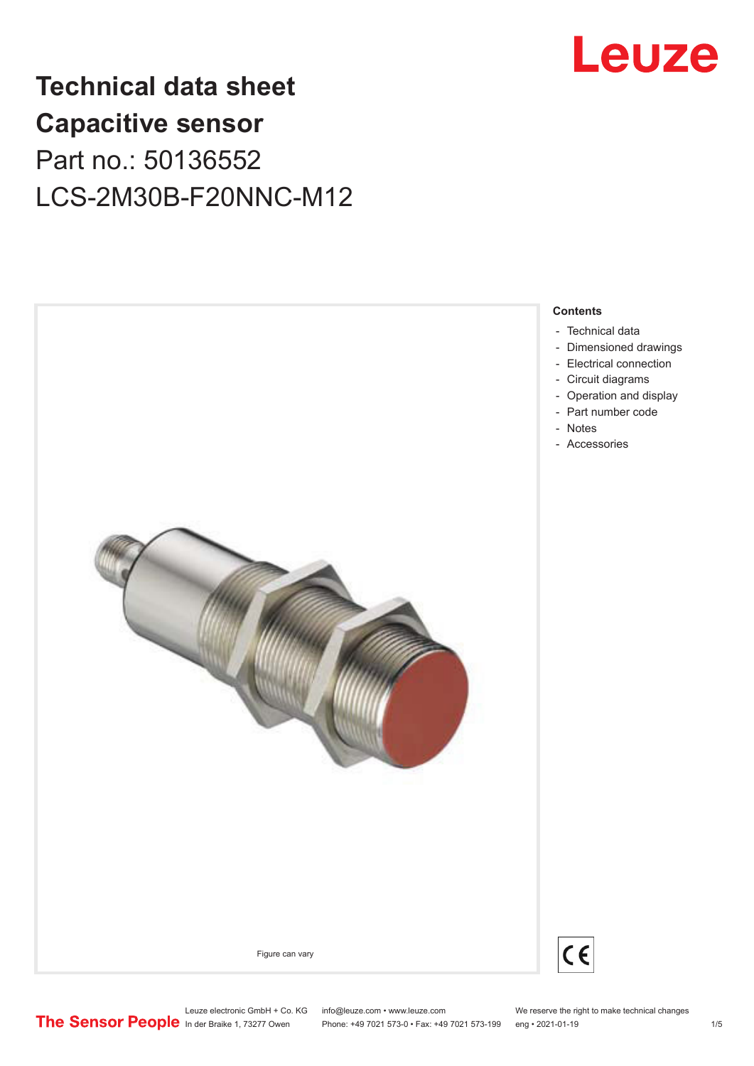

# **Technical data sheet Capacitive sensor** Part no.: 50136552 LCS-2M30B-F20NNC-M12



- [Technical data](#page-1-0)
- [Dimensioned drawings](#page-2-0)
- [Electrical connection](#page-2-0)
- [Circuit diagrams](#page-3-0)
- [Operation and display](#page-3-0) - [Part number code](#page-3-0)
- [Notes](#page-4-0)
- [Accessories](#page-4-0)



 $C \in$ 

Leuze electronic GmbH + Co. KG info@leuze.com • www.leuze.com We reserve the right to make technical changes<br>
The Sensor People in der Braike 1, 73277 Owen Phone: +49 7021 573-0 • Fax: +49 7021 573-199 eng • 2021-01-19

Phone: +49 7021 573-0 • Fax: +49 7021 573-199 eng • 2021-01-19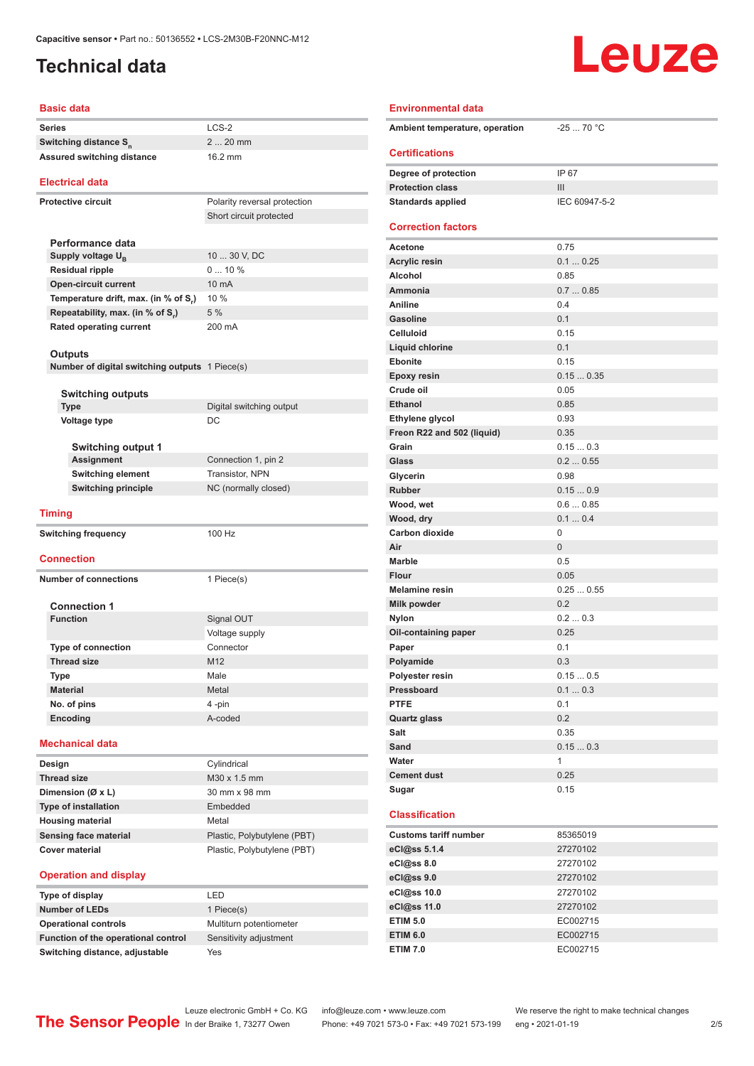## <span id="page-1-0"></span>**Technical data**

# Leuze

| Basic data                                                |                                         |  |  |
|-----------------------------------------------------------|-----------------------------------------|--|--|
| <b>Series</b>                                             | $LCS-2$                                 |  |  |
| Switching distance S <sub>n</sub>                         | 2  20 mm                                |  |  |
| Assured switching distance                                | 16.2 mm                                 |  |  |
|                                                           |                                         |  |  |
| <b>Electrical data</b>                                    |                                         |  |  |
| <b>Protective circuit</b>                                 | Polarity reversal protection            |  |  |
|                                                           | Short circuit protected                 |  |  |
|                                                           |                                         |  |  |
| Performance data                                          |                                         |  |  |
| Supply voltage $U_{\rm B}$                                | 10  30 V, DC                            |  |  |
| Residual ripple                                           | 010%                                    |  |  |
| <b>Open-circuit current</b>                               | 10 mA                                   |  |  |
| Temperature drift, max. (in % of S <sub>r</sub> )         | 10 %                                    |  |  |
| Repeatability, max. (in % of S.)                          | 5%                                      |  |  |
| <b>Rated operating current</b>                            | 200 mA                                  |  |  |
|                                                           |                                         |  |  |
| Outputs<br>Number of digital switching outputs 1 Piece(s) |                                         |  |  |
|                                                           |                                         |  |  |
| <b>Switching outputs</b>                                  |                                         |  |  |
| <b>Type</b>                                               | Digital switching output                |  |  |
| <b>Voltage type</b>                                       | DC                                      |  |  |
|                                                           |                                         |  |  |
| <b>Switching output 1</b>                                 |                                         |  |  |
| Assignment                                                | Connection 1, pin 2                     |  |  |
| <b>Switching element</b>                                  | Transistor, NPN<br>NC (normally closed) |  |  |
|                                                           |                                         |  |  |
| <b>Switching principle</b>                                |                                         |  |  |
|                                                           |                                         |  |  |
| <b>Timing</b>                                             |                                         |  |  |
| <b>Switching frequency</b>                                | 100 Hz                                  |  |  |
|                                                           |                                         |  |  |
| <b>Connection</b>                                         |                                         |  |  |
| <b>Number of connections</b>                              | 1 Piece(s)                              |  |  |
|                                                           |                                         |  |  |
| <b>Connection 1</b>                                       |                                         |  |  |
| <b>Function</b>                                           | Signal OUT                              |  |  |
|                                                           | Voltage supply                          |  |  |
| <b>Type of connection</b>                                 | Connector                               |  |  |
| <b>Thread size</b>                                        | M12                                     |  |  |
| Type                                                      | Male                                    |  |  |
| <b>Material</b>                                           | Metal                                   |  |  |
| No. of pins                                               | 4-pin                                   |  |  |
| Encoding                                                  | A-coded                                 |  |  |
|                                                           |                                         |  |  |
| <b>Mechanical data</b>                                    |                                         |  |  |
| Design                                                    | Cylindrical                             |  |  |
| <b>Thread size</b>                                        | M30 x 1.5 mm                            |  |  |
| Dimension (Ø x L)                                         | 30 mm x 98 mm                           |  |  |
| <b>Type of installation</b>                               | Embedded                                |  |  |
| <b>Housing material</b>                                   | Metal                                   |  |  |
| <b>Sensing face material</b>                              | Plastic, Polybutylene (PBT)             |  |  |
| <b>Cover material</b>                                     | Plastic, Polybutylene (PBT)             |  |  |

### Ambient temperature, operation -25 ... 70 °C **Certifications Degree of protection** IP 67 **Protection class III Standards applied** IEC 60947-5-2 **Correction factors Acetone** 0.75 **Acrylic resin** 0.1 ... 0.25 **Alcohol** 0.85 **Ammonia** 0.7 ... 0.85 **Aniline** 0.4 **Gasoline** 0.1 **Celluloid** 0.15 **Liquid chlorine** 0.1 **Ebonite** 0.15 **Epoxy resin** 0.15 ... 0.35 **Crude oil** 0.05 **Ethanol** 0.85 **Ethylene glycol** 0.93 **Freon R22 and 502 (liquid)** 0.35 **Grain** 0.15 ... 0.3 **Glass** 0.2 ... 0.55 **Glycerin** 0.98 **Rubber** 0.15 ... 0.9 **Wood, wet** 0.6 ... 0.85 **Wood, dry** 0.1 ... 0.4 Carbon dioxide 0 **Air** 0 **Marble** 0.5 **Flour** 0.05 **Melamine resin** 0.25 ... 0.55 **Milk powder** 0.2 **Nylon** 0.2 ... 0.3 **Oil-containing paper** 0.25 **Paper** 0.1 Polyamide 0.3 **Polyester resin** 0.15 ... 0.5 **Pressboard** 0.1 ... 0.3 **PTFE** 0.1 **Quartz glass** 0.2 **Salt** 0.35 **Sand** 0.15 ... 0.3 **Water** 1 **Cement dust** 0.25 **Sugar** 0.15 **Classification Customs tariff number** 85365019 **eCl@ss 5.1.4** 27270102 **eCl@ss 8.0** 27270102 **eCl@ss 9.0** 27270102

**Environmental data**

### **Operation and display**

| Type of display                     | I FD                    |
|-------------------------------------|-------------------------|
| <b>Number of LEDs</b>               | 1 Piece(s)              |
| <b>Operational controls</b>         | Multiturn potentiometer |
| Function of the operational control | Sensitivity adjustment  |
| Switching distance, adjustable      | Yes                     |

| I FD                    |
|-------------------------|
| 1 Piece(s)              |
| Multiturn potentiometer |
| Sensitivity adjustment  |
| Yes                     |
|                         |

Leuze electronic GmbH + Co. KG info@leuze.com • www.leuze.com We reserve the right to make technical changes<br>
The Sensor People in der Braike 1, 73277 Owen Phone: +49 7021 573-0 • Fax: +49 7021 573-199 eng • 2021-01-19 Phone: +49 7021 573-0 • Fax: +49 7021 573-199 eng • 2021-01-19 2/5

**eCl@ss 10.0** 27270102 **eCl@ss 11.0** 27270102 **ETIM 5.0** EC002715 **ETIM 6.0** EC002715 **ETIM 7.0** EC002715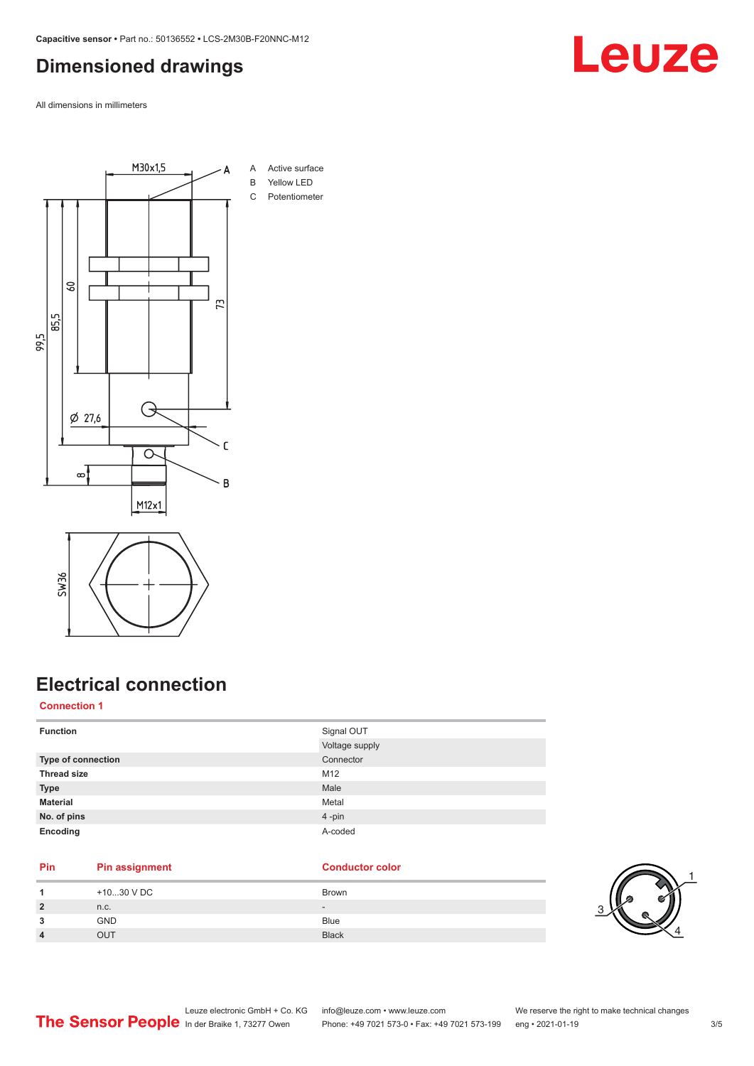### <span id="page-2-0"></span>**Dimensioned drawings**

All dimensions in millimeters





## **Electrical connection**

### **Connection 1**

| <b>Function</b>           | Signal OUT     |
|---------------------------|----------------|
|                           | Voltage supply |
| <b>Type of connection</b> | Connector      |
| <b>Thread size</b>        | M12            |
| <b>Type</b>               | Male           |
| <b>Material</b>           | Metal          |
| No. of pins               | $4 - pin$      |
| Encoding                  | A-coded        |

### **Pin Pin assignment Conductor Conductor Color**

|                | +1030 V DC | Brown        |
|----------------|------------|--------------|
| $\overline{2}$ | n.c.       | $\sim$       |
| 3              | <b>GND</b> | <b>Blue</b>  |
| 4              | דו ור      | <b>Black</b> |



# Leuze

Leuze electronic GmbH + Co. KG info@leuze.com • www.leuze.com We reserve the right to make technical changes

ln der Braike 1, 73277 Owen Phone: +49 7021 573-0 • Fax: +49 7021 573-199 eng • 2021-01-19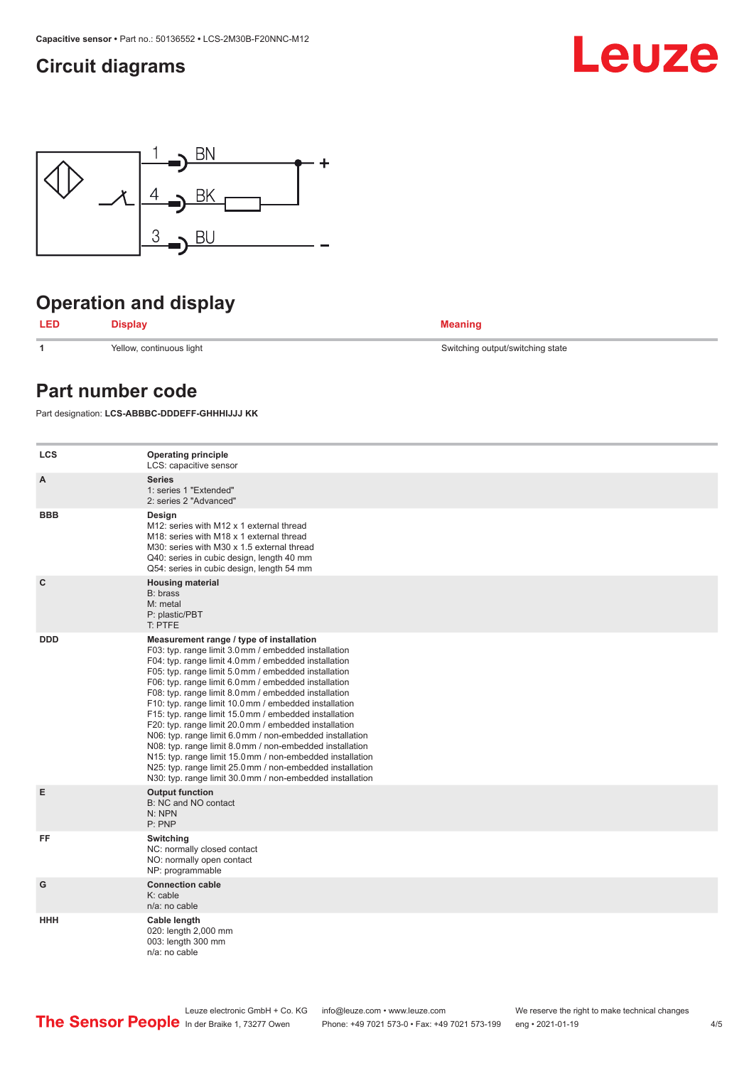## <span id="page-3-0"></span>**Circuit diagrams**





# **Operation and display**

**LED Display Meaning**

**1** Yellow, continuous light Switching output/switching state

### **Part number code**

Part designation: **LCS-ABBBC-DDDEFF-GHHHIJJJ KK**

| <b>LCS</b>  | <b>Operating principle</b><br>LCS: capacitive sensor                                                                                                                                                                                                                                                                                                                                                                                                                                                                                                                                                                                                                                                                                                                                                                       |
|-------------|----------------------------------------------------------------------------------------------------------------------------------------------------------------------------------------------------------------------------------------------------------------------------------------------------------------------------------------------------------------------------------------------------------------------------------------------------------------------------------------------------------------------------------------------------------------------------------------------------------------------------------------------------------------------------------------------------------------------------------------------------------------------------------------------------------------------------|
| A           | <b>Series</b><br>1: series 1 "Extended"<br>2: series 2 "Advanced"                                                                                                                                                                                                                                                                                                                                                                                                                                                                                                                                                                                                                                                                                                                                                          |
| <b>BBB</b>  | Design<br>M12: series with M12 x 1 external thread<br>M18: series with M18 x 1 external thread<br>M30: series with M30 x 1.5 external thread<br>Q40: series in cubic design, length 40 mm<br>Q54: series in cubic design, length 54 mm                                                                                                                                                                                                                                                                                                                                                                                                                                                                                                                                                                                     |
| $\mathbf c$ | <b>Housing material</b><br>B: brass<br>M: metal<br>P: plastic/PBT<br>T: PTFE                                                                                                                                                                                                                                                                                                                                                                                                                                                                                                                                                                                                                                                                                                                                               |
| <b>DDD</b>  | Measurement range / type of installation<br>F03: typ. range limit 3.0 mm / embedded installation<br>F04: typ. range limit 4.0 mm / embedded installation<br>F05: typ. range limit 5.0 mm / embedded installation<br>F06: typ. range limit 6.0 mm / embedded installation<br>F08: typ. range limit 8.0 mm / embedded installation<br>F10: typ. range limit 10.0 mm / embedded installation<br>F15: typ. range limit 15.0 mm / embedded installation<br>F20: typ. range limit 20.0 mm / embedded installation<br>N06: typ. range limit 6.0 mm / non-embedded installation<br>N08: typ. range limit 8.0 mm / non-embedded installation<br>N15: typ. range limit 15.0 mm / non-embedded installation<br>N25: typ. range limit 25.0 mm / non-embedded installation<br>N30: typ. range limit 30.0 mm / non-embedded installation |
| E           | <b>Output function</b><br>B: NC and NO contact<br>N: NPN<br>P: PNP                                                                                                                                                                                                                                                                                                                                                                                                                                                                                                                                                                                                                                                                                                                                                         |
| FF          | Switching<br>NC: normally closed contact<br>NO: normally open contact<br>NP: programmable                                                                                                                                                                                                                                                                                                                                                                                                                                                                                                                                                                                                                                                                                                                                  |
| G           | <b>Connection cable</b><br>$K:$ cable<br>n/a: no cable                                                                                                                                                                                                                                                                                                                                                                                                                                                                                                                                                                                                                                                                                                                                                                     |
| <b>HHH</b>  | Cable length<br>020: length 2,000 mm<br>003: length 300 mm<br>n/a: no cable                                                                                                                                                                                                                                                                                                                                                                                                                                                                                                                                                                                                                                                                                                                                                |